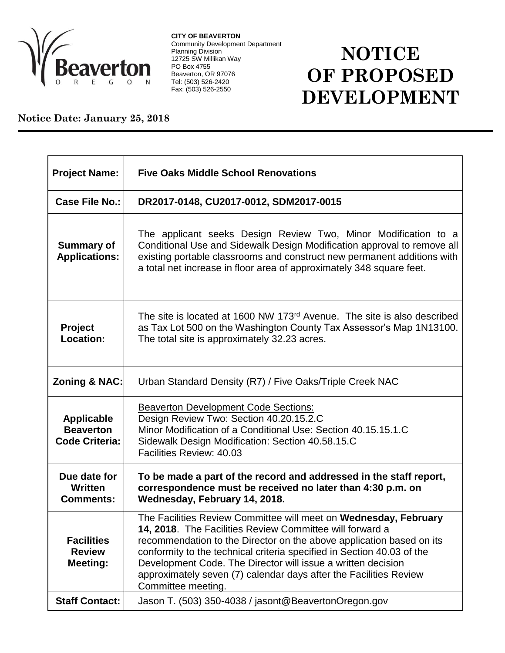

**CITY OF BEAVERTON** Community Development Department Planning Division 12725 SW Millikan Way PO Box 4755 Beaverton, OR 97076 Tel: (503) 526-2420 Fax: (503) 526-2550

## **NOTICE OF PROPOSED DEVELOPMENT**

## **Notice Date: January 25, 2018**

| <b>Project Name:</b>                                           | <b>Five Oaks Middle School Renovations</b>                                                                                                                                                                                                                                                                                                                                                                                                |
|----------------------------------------------------------------|-------------------------------------------------------------------------------------------------------------------------------------------------------------------------------------------------------------------------------------------------------------------------------------------------------------------------------------------------------------------------------------------------------------------------------------------|
| <b>Case File No.:</b>                                          | DR2017-0148, CU2017-0012, SDM2017-0015                                                                                                                                                                                                                                                                                                                                                                                                    |
| <b>Summary of</b><br><b>Applications:</b>                      | The applicant seeks Design Review Two, Minor Modification to a<br>Conditional Use and Sidewalk Design Modification approval to remove all<br>existing portable classrooms and construct new permanent additions with<br>a total net increase in floor area of approximately 348 square feet.                                                                                                                                              |
| <b>Project</b><br><b>Location:</b>                             | The site is located at 1600 NW 173 $rd$ Avenue. The site is also described<br>as Tax Lot 500 on the Washington County Tax Assessor's Map 1N13100.<br>The total site is approximately 32.23 acres.                                                                                                                                                                                                                                         |
| <b>Zoning &amp; NAC:</b>                                       | Urban Standard Density (R7) / Five Oaks/Triple Creek NAC                                                                                                                                                                                                                                                                                                                                                                                  |
| <b>Applicable</b><br><b>Beaverton</b><br><b>Code Criteria:</b> | <b>Beaverton Development Code Sections:</b><br>Design Review Two: Section 40.20.15.2.C<br>Minor Modification of a Conditional Use: Section 40.15.15.1.C<br>Sidewalk Design Modification: Section 40.58.15.C<br>Facilities Review: 40.03                                                                                                                                                                                                   |
| Due date for<br>Written<br><b>Comments:</b>                    | To be made a part of the record and addressed in the staff report,<br>correspondence must be received no later than 4:30 p.m. on<br>Wednesday, February 14, 2018.                                                                                                                                                                                                                                                                         |
| <b>Facilities</b><br><b>Review</b><br><b>Meeting:</b>          | The Facilities Review Committee will meet on Wednesday, February<br>14, 2018. The Facilities Review Committee will forward a<br>recommendation to the Director on the above application based on its<br>conformity to the technical criteria specified in Section 40.03 of the<br>Development Code. The Director will issue a written decision<br>approximately seven (7) calendar days after the Facilities Review<br>Committee meeting. |
| <b>Staff Contact:</b>                                          | Jason T. (503) 350-4038 / jasont@BeavertonOregon.gov                                                                                                                                                                                                                                                                                                                                                                                      |